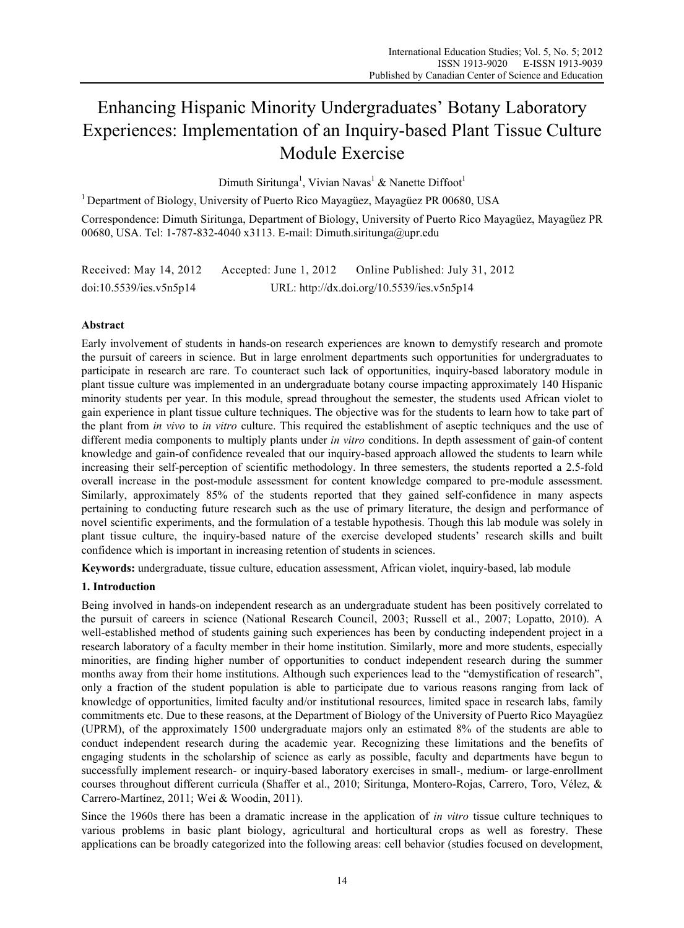# Enhancing Hispanic Minority Undergraduates' Botany Laboratory Experiences: Implementation of an Inquiry-based Plant Tissue Culture Module Exercise

Dimuth Siritunga<sup>1</sup>, Vivian Navas<sup>1</sup> & Nanette Diffoot<sup>1</sup>

<sup>1</sup> Department of Biology, University of Puerto Rico Mayagüez, Mayagüez PR 00680, USA

Correspondence: Dimuth Siritunga, Department of Biology, University of Puerto Rico Mayagüez, Mayagüez PR 00680, USA. Tel: 1-787-832-4040 x3113. E-mail: Dimuth.siritunga@upr.edu

Received: May 14, 2012 Accepted: June 1, 2012 Online Published: July 31, 2012 doi:10.5539/ies.v5n5p14 URL: http://dx.doi.org/10.5539/ies.v5n5p14

# **Abstract**

Early involvement of students in hands-on research experiences are known to demystify research and promote the pursuit of careers in science. But in large enrolment departments such opportunities for undergraduates to participate in research are rare. To counteract such lack of opportunities, inquiry-based laboratory module in plant tissue culture was implemented in an undergraduate botany course impacting approximately 140 Hispanic minority students per year. In this module, spread throughout the semester, the students used African violet to gain experience in plant tissue culture techniques. The objective was for the students to learn how to take part of the plant from *in vivo* to *in vitro* culture. This required the establishment of aseptic techniques and the use of different media components to multiply plants under *in vitro* conditions. In depth assessment of gain-of content knowledge and gain-of confidence revealed that our inquiry-based approach allowed the students to learn while increasing their self-perception of scientific methodology. In three semesters, the students reported a 2.5-fold overall increase in the post-module assessment for content knowledge compared to pre-module assessment. Similarly, approximately 85% of the students reported that they gained self-confidence in many aspects pertaining to conducting future research such as the use of primary literature, the design and performance of novel scientific experiments, and the formulation of a testable hypothesis. Though this lab module was solely in plant tissue culture, the inquiry-based nature of the exercise developed students' research skills and built confidence which is important in increasing retention of students in sciences.

**Keywords:** undergraduate, tissue culture, education assessment, African violet, inquiry-based, lab module

# **1. Introduction**

Being involved in hands-on independent research as an undergraduate student has been positively correlated to the pursuit of careers in science (National Research Council, 2003; Russell et al., 2007; Lopatto, 2010). A well-established method of students gaining such experiences has been by conducting independent project in a research laboratory of a faculty member in their home institution. Similarly, more and more students, especially minorities, are finding higher number of opportunities to conduct independent research during the summer months away from their home institutions. Although such experiences lead to the "demystification of research", only a fraction of the student population is able to participate due to various reasons ranging from lack of knowledge of opportunities, limited faculty and/or institutional resources, limited space in research labs, family commitments etc. Due to these reasons, at the Department of Biology of the University of Puerto Rico Mayagüez (UPRM), of the approximately 1500 undergraduate majors only an estimated 8% of the students are able to conduct independent research during the academic year. Recognizing these limitations and the benefits of engaging students in the scholarship of science as early as possible, faculty and departments have begun to successfully implement research- or inquiry-based laboratory exercises in small-, medium- or large-enrollment courses throughout different curricula (Shaffer et al., 2010; Siritunga, Montero-Rojas, Carrero, Toro, Vélez, & Carrero-Martínez, 2011; Wei & Woodin, 2011).

Since the 1960s there has been a dramatic increase in the application of *in vitro* tissue culture techniques to various problems in basic plant biology, agricultural and horticultural crops as well as forestry. These applications can be broadly categorized into the following areas: cell behavior (studies focused on development,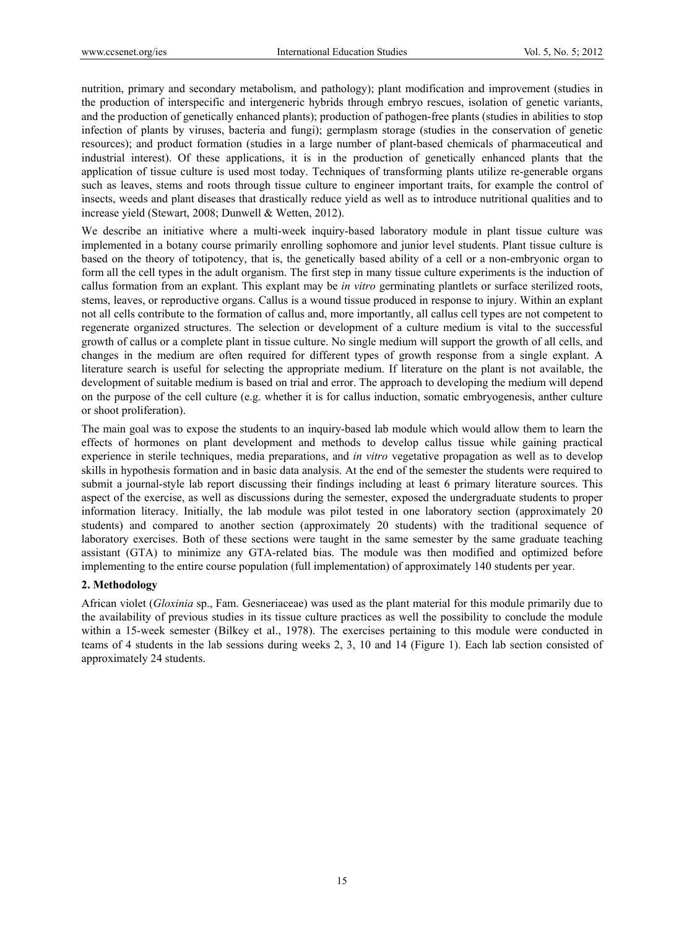nutrition, primary and secondary metabolism, and pathology); plant modification and improvement (studies in the production of interspecific and intergeneric hybrids through embryo rescues, isolation of genetic variants, and the production of genetically enhanced plants); production of pathogen-free plants (studies in abilities to stop infection of plants by viruses, bacteria and fungi); germplasm storage (studies in the conservation of genetic resources); and product formation (studies in a large number of plant-based chemicals of pharmaceutical and industrial interest). Of these applications, it is in the production of genetically enhanced plants that the application of tissue culture is used most today. Techniques of transforming plants utilize re-generable organs such as leaves, stems and roots through tissue culture to engineer important traits, for example the control of insects, weeds and plant diseases that drastically reduce yield as well as to introduce nutritional qualities and to increase yield (Stewart, 2008; Dunwell & Wetten, 2012).

We describe an initiative where a multi-week inquiry-based laboratory module in plant tissue culture was implemented in a botany course primarily enrolling sophomore and junior level students. Plant tissue culture is based on the theory of totipotency, that is, the genetically based ability of a cell or a non-embryonic organ to form all the cell types in the adult organism. The first step in many tissue culture experiments is the induction of callus formation from an explant. This explant may be *in vitro* germinating plantlets or surface sterilized roots, stems, leaves, or reproductive organs. Callus is a wound tissue produced in response to injury. Within an explant not all cells contribute to the formation of callus and, more importantly, all callus cell types are not competent to regenerate organized structures. The selection or development of a culture medium is vital to the successful growth of callus or a complete plant in tissue culture. No single medium will support the growth of all cells, and changes in the medium are often required for different types of growth response from a single explant. A literature search is useful for selecting the appropriate medium. If literature on the plant is not available, the development of suitable medium is based on trial and error. The approach to developing the medium will depend on the purpose of the cell culture (e.g. whether it is for callus induction, somatic embryogenesis, anther culture or shoot proliferation).

The main goal was to expose the students to an inquiry-based lab module which would allow them to learn the effects of hormones on plant development and methods to develop callus tissue while gaining practical experience in sterile techniques, media preparations, and *in vitro* vegetative propagation as well as to develop skills in hypothesis formation and in basic data analysis. At the end of the semester the students were required to submit a journal-style lab report discussing their findings including at least 6 primary literature sources. This aspect of the exercise, as well as discussions during the semester, exposed the undergraduate students to proper information literacy. Initially, the lab module was pilot tested in one laboratory section (approximately 20 students) and compared to another section (approximately 20 students) with the traditional sequence of laboratory exercises. Both of these sections were taught in the same semester by the same graduate teaching assistant (GTA) to minimize any GTA-related bias. The module was then modified and optimized before implementing to the entire course population (full implementation) of approximately 140 students per year.

# **2. Methodology**

African violet (*Gloxinia* sp., Fam. Gesneriaceae) was used as the plant material for this module primarily due to the availability of previous studies in its tissue culture practices as well the possibility to conclude the module within a 15-week semester (Bilkey et al., 1978). The exercises pertaining to this module were conducted in teams of 4 students in the lab sessions during weeks 2, 3, 10 and 14 (Figure 1). Each lab section consisted of approximately 24 students.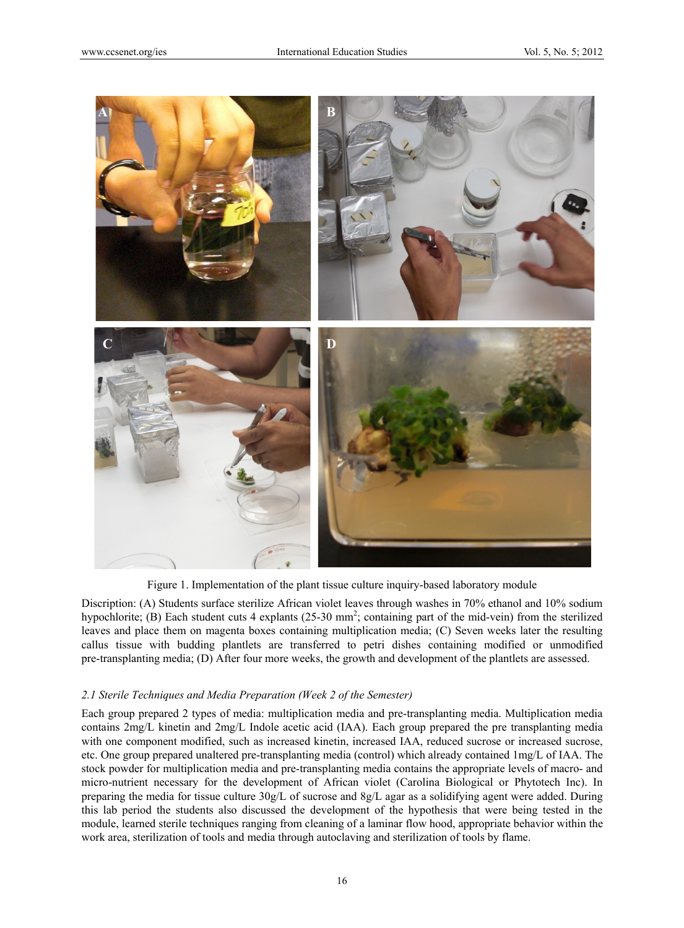

Figure 1. Implementation of the plant tissue culture inquiry-based laboratory module

Discription: (A) Students surface sterilize African violet leaves through washes in 70% ethanol and 10% sodium hypochlorite; (B) Each student cuts 4 explants  $(25{\text -}30 \text{ mm}^2)$ ; containing part of the mid-vein) from the sterilized leaves and place them on magenta boxes containing multiplication media; (C) Seven weeks later the resulting callus tissue with budding plantlets are transferred to petri dishes containing modified or unmodified pre-transplanting media; (D) After four more weeks, the growth and development of the plantlets are assessed.

#### *2.1 Sterile Techniques and Media Preparation (Week 2 of the Semester)*

Each group prepared 2 types of media: multiplication media and pre-transplanting media. Multiplication media contains 2mg/L kinetin and 2mg/L Indole acetic acid (IAA). Each group prepared the pre transplanting media with one component modified, such as increased kinetin, increased IAA, reduced sucrose or increased sucrose, etc. One group prepared unaltered pre-transplanting media (control) which already contained 1mg/L of IAA. The stock powder for multiplication media and pre-transplanting media contains the appropriate levels of macro- and micro-nutrient necessary for the development of African violet (Carolina Biological or Phytotech Inc). In preparing the media for tissue culture 30g/L of sucrose and 8g/L agar as a solidifying agent were added. During this lab period the students also discussed the development of the hypothesis that were being tested in the module, learned sterile techniques ranging from cleaning of a laminar flow hood, appropriate behavior within the work area, sterilization of tools and media through autoclaving and sterilization of tools by flame.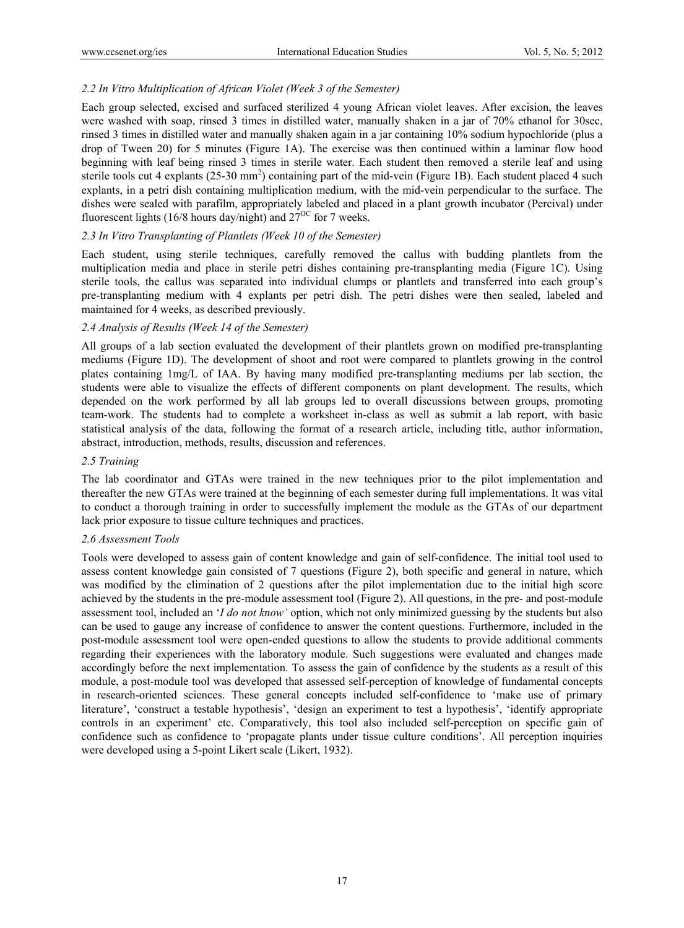# *2.2 In Vitro Multiplication of African Violet (Week 3 of the Semester)*

Each group selected, excised and surfaced sterilized 4 young African violet leaves. After excision, the leaves were washed with soap, rinsed 3 times in distilled water, manually shaken in a jar of 70% ethanol for 30sec, rinsed 3 times in distilled water and manually shaken again in a jar containing 10% sodium hypochloride (plus a drop of Tween 20) for 5 minutes (Figure 1A). The exercise was then continued within a laminar flow hood beginning with leaf being rinsed 3 times in sterile water. Each student then removed a sterile leaf and using sterile tools cut 4 explants  $(25{\text -}30 \text{ mm}^2)$  containing part of the mid-vein (Figure 1B). Each student placed 4 such explants, in a petri dish containing multiplication medium, with the mid-vein perpendicular to the surface. The dishes were sealed with parafilm, appropriately labeled and placed in a plant growth incubator (Percival) under fluorescent lights (16/8 hours day/night) and  $27^{\rm OC}$  for 7 weeks.

# *2.3 In Vitro Transplanting of Plantlets (Week 10 of the Semester)*

Each student, using sterile techniques, carefully removed the callus with budding plantlets from the multiplication media and place in sterile petri dishes containing pre-transplanting media (Figure 1C). Using sterile tools, the callus was separated into individual clumps or plantlets and transferred into each group's pre-transplanting medium with 4 explants per petri dish. The petri dishes were then sealed, labeled and maintained for 4 weeks, as described previously.

## *2.4 Analysis of Results (Week 14 of the Semester)*

All groups of a lab section evaluated the development of their plantlets grown on modified pre-transplanting mediums (Figure 1D). The development of shoot and root were compared to plantlets growing in the control plates containing 1mg/L of IAA. By having many modified pre-transplanting mediums per lab section, the students were able to visualize the effects of different components on plant development. The results, which depended on the work performed by all lab groups led to overall discussions between groups, promoting team-work. The students had to complete a worksheet in-class as well as submit a lab report, with basic statistical analysis of the data, following the format of a research article, including title, author information, abstract, introduction, methods, results, discussion and references.

## *2.5 Training*

The lab coordinator and GTAs were trained in the new techniques prior to the pilot implementation and thereafter the new GTAs were trained at the beginning of each semester during full implementations. It was vital to conduct a thorough training in order to successfully implement the module as the GTAs of our department lack prior exposure to tissue culture techniques and practices.

## *2.6 Assessment Tools*

Tools were developed to assess gain of content knowledge and gain of self-confidence. The initial tool used to assess content knowledge gain consisted of 7 questions (Figure 2), both specific and general in nature, which was modified by the elimination of 2 questions after the pilot implementation due to the initial high score achieved by the students in the pre-module assessment tool (Figure 2). All questions, in the pre- and post-module assessment tool, included an '*I do not know'* option, which not only minimized guessing by the students but also can be used to gauge any increase of confidence to answer the content questions. Furthermore, included in the post-module assessment tool were open-ended questions to allow the students to provide additional comments regarding their experiences with the laboratory module. Such suggestions were evaluated and changes made accordingly before the next implementation. To assess the gain of confidence by the students as a result of this module, a post-module tool was developed that assessed self-perception of knowledge of fundamental concepts in research-oriented sciences. These general concepts included self-confidence to 'make use of primary literature', 'construct a testable hypothesis', 'design an experiment to test a hypothesis', 'identify appropriate controls in an experiment' etc. Comparatively, this tool also included self-perception on specific gain of confidence such as confidence to 'propagate plants under tissue culture conditions'. All perception inquiries were developed using a 5-point Likert scale (Likert, 1932).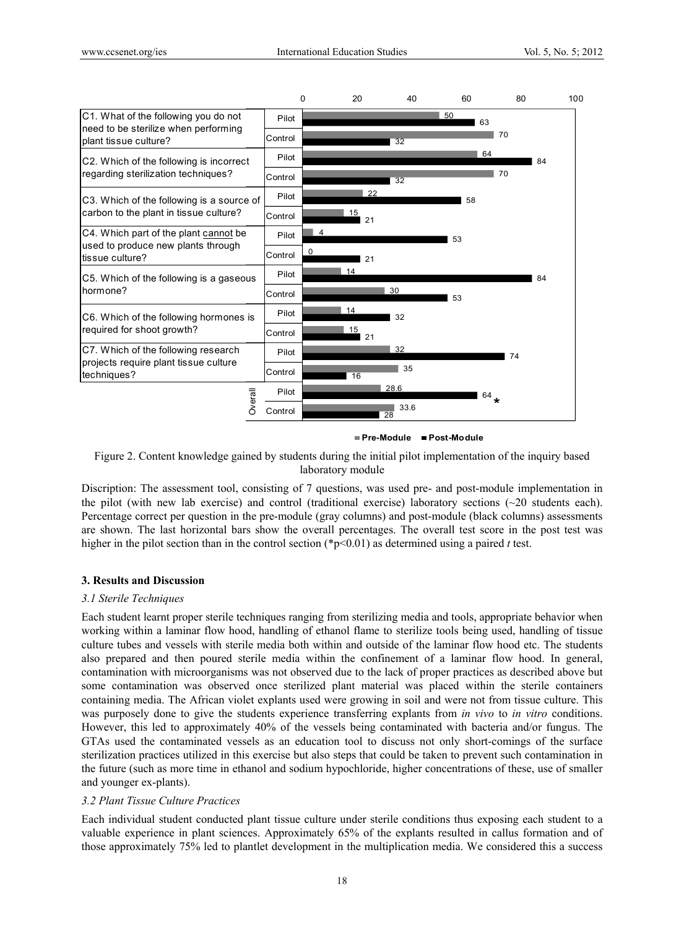

**Pre-Module Post-Module**

Figure 2. Content knowledge gained by students during the initial pilot implementation of the inquiry based laboratory module

Discription: The assessment tool, consisting of 7 questions, was used pre- and post-module implementation in the pilot (with new lab exercise) and control (traditional exercise) laboratory sections (~20 students each). Percentage correct per question in the pre-module (gray columns) and post-module (black columns) assessments are shown. The last horizontal bars show the overall percentages. The overall test score in the post test was higher in the pilot section than in the control section (\*p<0.01) as determined using a paired *t* test.

## **3. Results and Discussion**

#### *3.1 Sterile Techniques*

Each student learnt proper sterile techniques ranging from sterilizing media and tools, appropriate behavior when working within a laminar flow hood, handling of ethanol flame to sterilize tools being used, handling of tissue culture tubes and vessels with sterile media both within and outside of the laminar flow hood etc. The students also prepared and then poured sterile media within the confinement of a laminar flow hood. In general, contamination with microorganisms was not observed due to the lack of proper practices as described above but some contamination was observed once sterilized plant material was placed within the sterile containers containing media. The African violet explants used were growing in soil and were not from tissue culture. This was purposely done to give the students experience transferring explants from *in vivo* to *in vitro* conditions. However, this led to approximately 40% of the vessels being contaminated with bacteria and/or fungus. The GTAs used the contaminated vessels as an education tool to discuss not only short-comings of the surface sterilization practices utilized in this exercise but also steps that could be taken to prevent such contamination in the future (such as more time in ethanol and sodium hypochloride, higher concentrations of these, use of smaller and younger ex-plants).

## *3.2 Plant Tissue Culture Practices*

Each individual student conducted plant tissue culture under sterile conditions thus exposing each student to a valuable experience in plant sciences. Approximately 65% of the explants resulted in callus formation and of those approximately 75% led to plantlet development in the multiplication media. We considered this a success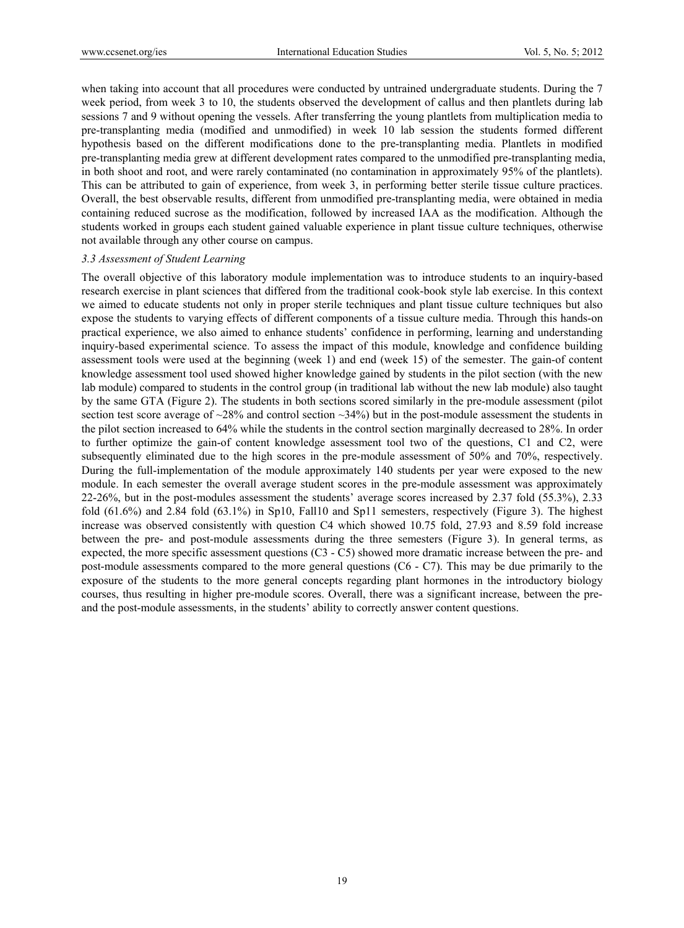when taking into account that all procedures were conducted by untrained undergraduate students. During the 7 week period, from week 3 to 10, the students observed the development of callus and then plantlets during lab sessions 7 and 9 without opening the vessels. After transferring the young plantlets from multiplication media to pre-transplanting media (modified and unmodified) in week 10 lab session the students formed different hypothesis based on the different modifications done to the pre-transplanting media. Plantlets in modified pre-transplanting media grew at different development rates compared to the unmodified pre-transplanting media, in both shoot and root, and were rarely contaminated (no contamination in approximately 95% of the plantlets). This can be attributed to gain of experience, from week 3, in performing better sterile tissue culture practices. Overall, the best observable results, different from unmodified pre-transplanting media, were obtained in media containing reduced sucrose as the modification, followed by increased IAA as the modification. Although the students worked in groups each student gained valuable experience in plant tissue culture techniques, otherwise not available through any other course on campus.

#### *3.3 Assessment of Student Learning*

The overall objective of this laboratory module implementation was to introduce students to an inquiry-based research exercise in plant sciences that differed from the traditional cook-book style lab exercise. In this context we aimed to educate students not only in proper sterile techniques and plant tissue culture techniques but also expose the students to varying effects of different components of a tissue culture media. Through this hands-on practical experience, we also aimed to enhance students' confidence in performing, learning and understanding inquiry-based experimental science. To assess the impact of this module, knowledge and confidence building assessment tools were used at the beginning (week 1) and end (week 15) of the semester. The gain-of content knowledge assessment tool used showed higher knowledge gained by students in the pilot section (with the new lab module) compared to students in the control group (in traditional lab without the new lab module) also taught by the same GTA (Figure 2). The students in both sections scored similarly in the pre-module assessment (pilot section test score average of  $\sim 28\%$  and control section  $\sim 34\%$ ) but in the post-module assessment the students in the pilot section increased to 64% while the students in the control section marginally decreased to 28%. In order to further optimize the gain-of content knowledge assessment tool two of the questions, C1 and C2, were subsequently eliminated due to the high scores in the pre-module assessment of 50% and 70%, respectively. During the full-implementation of the module approximately 140 students per year were exposed to the new module. In each semester the overall average student scores in the pre-module assessment was approximately 22-26%, but in the post-modules assessment the students' average scores increased by 2.37 fold (55.3%), 2.33 fold (61.6%) and 2.84 fold (63.1%) in Sp10, Fall10 and Sp11 semesters, respectively (Figure 3). The highest increase was observed consistently with question C4 which showed 10.75 fold, 27.93 and 8.59 fold increase between the pre- and post-module assessments during the three semesters (Figure 3). In general terms, as expected, the more specific assessment questions (C3 - C5) showed more dramatic increase between the pre- and post-module assessments compared to the more general questions (C6 - C7). This may be due primarily to the exposure of the students to the more general concepts regarding plant hormones in the introductory biology courses, thus resulting in higher pre-module scores. Overall, there was a significant increase, between the preand the post-module assessments, in the students' ability to correctly answer content questions.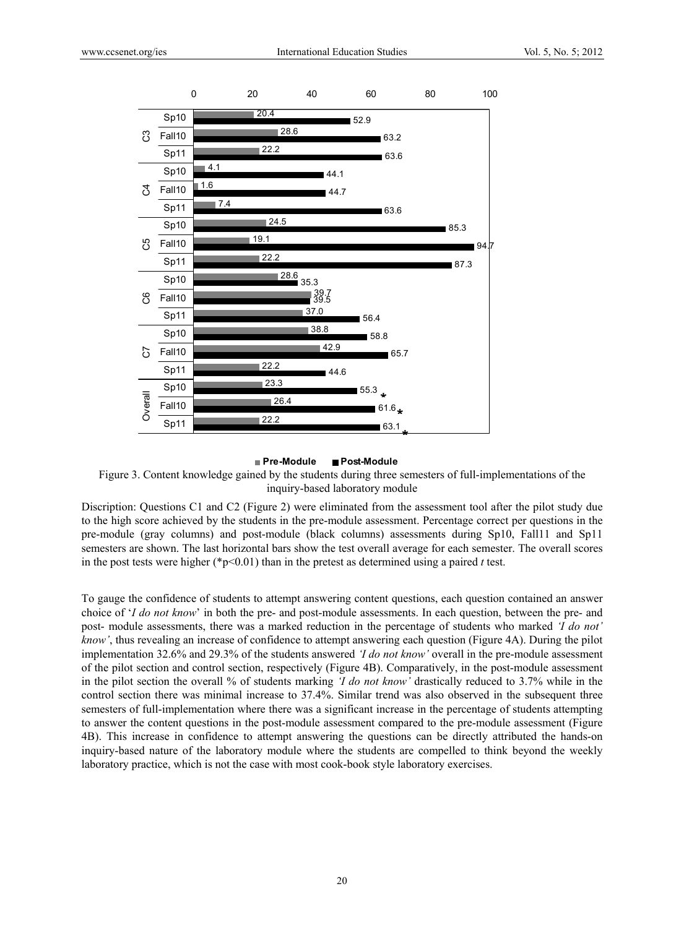

## **Pre-Module Post-Module**

Figure 3. Content knowledge gained by the students during three semesters of full-implementations of the inquiry-based laboratory module

Discription: Questions C1 and C2 (Figure 2) were eliminated from the assessment tool after the pilot study due to the high score achieved by the students in the pre-module assessment. Percentage correct per questions in the pre-module (gray columns) and post-module (black columns) assessments during Sp10, Fall11 and Sp11 semesters are shown. The last horizontal bars show the test overall average for each semester. The overall scores in the post tests were higher  $(*p<0.01)$  than in the pretest as determined using a paired *t* test.

To gauge the confidence of students to attempt answering content questions, each question contained an answer choice of '*I do not know*' in both the pre- and post-module assessments. In each question, between the pre- and post- module assessments, there was a marked reduction in the percentage of students who marked *'I do not' know'*, thus revealing an increase of confidence to attempt answering each question (Figure 4A). During the pilot implementation 32.6% and 29.3% of the students answered *'I do not know'* overall in the pre-module assessment of the pilot section and control section, respectively (Figure 4B). Comparatively, in the post-module assessment in the pilot section the overall % of students marking *'I do not know'* drastically reduced to 3.7% while in the control section there was minimal increase to 37.4%. Similar trend was also observed in the subsequent three semesters of full-implementation where there was a significant increase in the percentage of students attempting to answer the content questions in the post-module assessment compared to the pre-module assessment (Figure 4B). This increase in confidence to attempt answering the questions can be directly attributed the hands-on inquiry-based nature of the laboratory module where the students are compelled to think beyond the weekly laboratory practice, which is not the case with most cook-book style laboratory exercises.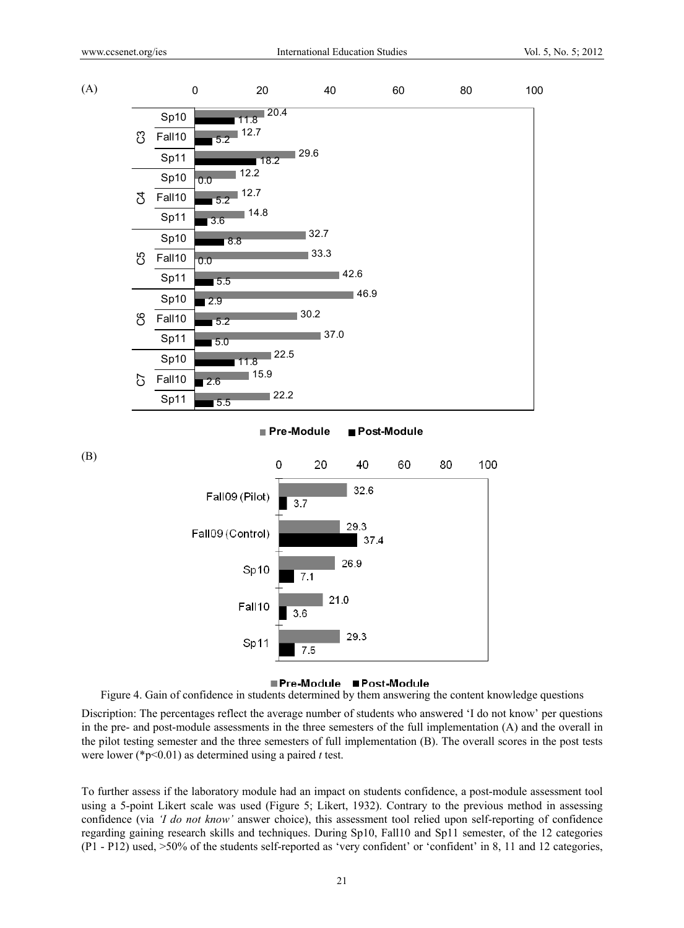

#### ■Pre-Module ■Post-Module

Figure 4. Gain of confidence in students determined by them answering the content knowledge questions

Discription: The percentages reflect the average number of students who answered 'I do not know' per questions in the pre- and post-module assessments in the three semesters of the full implementation (A) and the overall in the pilot testing semester and the three semesters of full implementation (B). The overall scores in the post tests were lower (\*p<0.01) as determined using a paired *t* test.

To further assess if the laboratory module had an impact on students confidence, a post-module assessment tool using a 5-point Likert scale was used (Figure 5; Likert, 1932). Contrary to the previous method in assessing confidence (via *'I do not know'* answer choice), this assessment tool relied upon self-reporting of confidence regarding gaining research skills and techniques. During Sp10, Fall10 and Sp11 semester, of the 12 categories (P1 - P12) used, >50% of the students self-reported as 'very confident' or 'confident' in 8, 11 and 12 categories,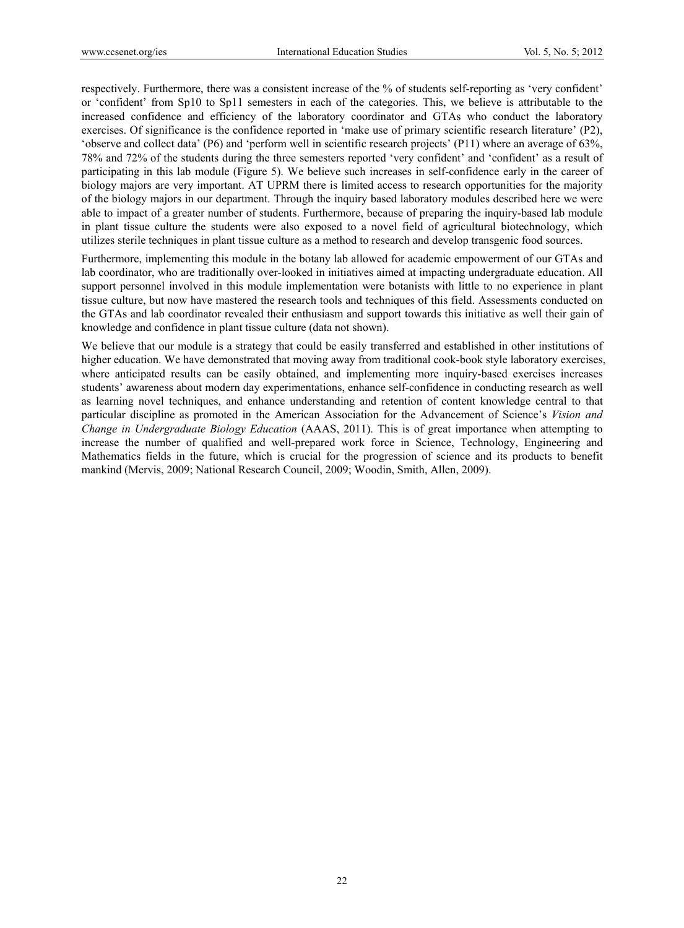respectively. Furthermore, there was a consistent increase of the % of students self-reporting as 'very confident' or 'confident' from Sp10 to Sp11 semesters in each of the categories. This, we believe is attributable to the increased confidence and efficiency of the laboratory coordinator and GTAs who conduct the laboratory exercises. Of significance is the confidence reported in 'make use of primary scientific research literature' (P2), 'observe and collect data' (P6) and 'perform well in scientific research projects' (P11) where an average of 63%, 78% and 72% of the students during the three semesters reported 'very confident' and 'confident' as a result of participating in this lab module (Figure 5). We believe such increases in self-confidence early in the career of biology majors are very important. AT UPRM there is limited access to research opportunities for the majority of the biology majors in our department. Through the inquiry based laboratory modules described here we were able to impact of a greater number of students. Furthermore, because of preparing the inquiry-based lab module in plant tissue culture the students were also exposed to a novel field of agricultural biotechnology, which utilizes sterile techniques in plant tissue culture as a method to research and develop transgenic food sources.

Furthermore, implementing this module in the botany lab allowed for academic empowerment of our GTAs and lab coordinator, who are traditionally over-looked in initiatives aimed at impacting undergraduate education. All support personnel involved in this module implementation were botanists with little to no experience in plant tissue culture, but now have mastered the research tools and techniques of this field. Assessments conducted on the GTAs and lab coordinator revealed their enthusiasm and support towards this initiative as well their gain of knowledge and confidence in plant tissue culture (data not shown).

We believe that our module is a strategy that could be easily transferred and established in other institutions of higher education. We have demonstrated that moving away from traditional cook-book style laboratory exercises, where anticipated results can be easily obtained, and implementing more inquiry-based exercises increases students' awareness about modern day experimentations, enhance self-confidence in conducting research as well as learning novel techniques, and enhance understanding and retention of content knowledge central to that particular discipline as promoted in the American Association for the Advancement of Science's *Vision and Change in Undergraduate Biology Education* (AAAS, 2011). This is of great importance when attempting to increase the number of qualified and well-prepared work force in Science, Technology, Engineering and Mathematics fields in the future, which is crucial for the progression of science and its products to benefit mankind (Mervis, 2009; National Research Council, 2009; Woodin, Smith, Allen, 2009).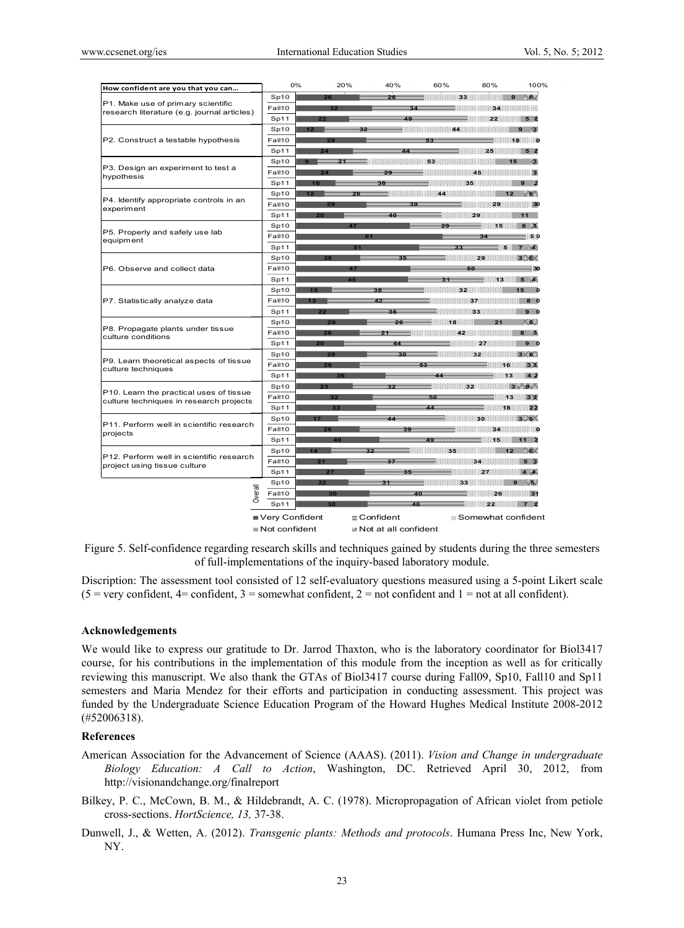| How confident are you that you can                                                                                       | 0%                                                         | 20% | 40%             | 60%                                                                                                                                                                                                                               | 80%                                                                                                                                                                                                                                                                                                                                                                                                                                                                                                                                                               | 100%               |
|--------------------------------------------------------------------------------------------------------------------------|------------------------------------------------------------|-----|-----------------|-----------------------------------------------------------------------------------------------------------------------------------------------------------------------------------------------------------------------------------|-------------------------------------------------------------------------------------------------------------------------------------------------------------------------------------------------------------------------------------------------------------------------------------------------------------------------------------------------------------------------------------------------------------------------------------------------------------------------------------------------------------------------------------------------------------------|--------------------|
| P1. Make use of primary scientific<br>research literature (e.g. journal articles)<br>P2. Construct a testable hypothesis | Sp10                                                       |     | 26              |                                                                                                                                                                                                                                   | 9                                                                                                                                                                                                                                                                                                                                                                                                                                                                                                                                                                 | X6V                |
|                                                                                                                          | Fall10                                                     |     |                 |                                                                                                                                                                                                                                   |                                                                                                                                                                                                                                                                                                                                                                                                                                                                                                                                                                   |                    |
|                                                                                                                          | Sp11                                                       |     |                 |                                                                                                                                                                                                                                   | - 22 52                                                                                                                                                                                                                                                                                                                                                                                                                                                                                                                                                           |                    |
|                                                                                                                          | Sp10                                                       |     |                 |                                                                                                                                                                                                                                   |                                                                                                                                                                                                                                                                                                                                                                                                                                                                                                                                                                   | ≫<br>9             |
|                                                                                                                          | Fall10                                                     |     |                 |                                                                                                                                                                                                                                   |                                                                                                                                                                                                                                                                                                                                                                                                                                                                                                                                                                   | eeeeas ees o       |
|                                                                                                                          | Sp11                                                       |     |                 |                                                                                                                                                                                                                                   | 25 5 2                                                                                                                                                                                                                                                                                                                                                                                                                                                                                                                                                            |                    |
| P3. Design an experiment to test a<br>hypothesis                                                                         | Sp10                                                       |     |                 | ו הוא המשלמה המוצרת המשלמה המשלמה המשלמה המשלמה במשלמה המשלמה המשלמה המשלמה המשלמה המשלמה המשלמה המשלמה המשל<br>המשלמה המשלמה המשלמה המשלמה המשלמה המשלמה המשלמה במשלמה המשלמה המשלמה המשלמה המשלמה המשלמה המשלמה המשלמה המשל<br> | 15                                                                                                                                                                                                                                                                                                                                                                                                                                                                                                                                                                |                    |
|                                                                                                                          | Fall10                                                     |     |                 |                                                                                                                                                                                                                                   | $\begin{minipage}{.45\textwidth} \includegraphics[width=0.43\textwidth]{figures/100000.pdf} \includegraphics[width=0.43\textwidth]{figures/100000.pdf} \includegraphics[width=0.43\textwidth]{figures/100000.pdf} \includegraphics[width=0.43\textwidth]{figures/100000.pdf} \includegraphics[width=0.43\textwidth]{figures/100000.pdf} \includegraphics[width=0.43\textwidth]{figures/100000.pdf} \includegraphics[width=0.43\textwidth]{figures/100000.pdf} \includegraphics[width=0.43\textwidth]{figures/100000.pdf} \includegraphics[width=0.43\textwidth]{$ |                    |
|                                                                                                                          | Sp11                                                       |     |                 |                                                                                                                                                                                                                                   | enennss enennen                                                                                                                                                                                                                                                                                                                                                                                                                                                                                                                                                   |                    |
| P4. Identify appropriate controls in an<br>experiment                                                                    | Sp10                                                       | 26  |                 |                                                                                                                                                                                                                                   | 12                                                                                                                                                                                                                                                                                                                                                                                                                                                                                                                                                                | X <sub>6</sub>     |
|                                                                                                                          | Fall10                                                     |     |                 |                                                                                                                                                                                                                                   |                                                                                                                                                                                                                                                                                                                                                                                                                                                                                                                                                                   |                    |
|                                                                                                                          | Sp11                                                       |     | 40              |                                                                                                                                                                                                                                   | <b>ENERGY (29</b> HENRICH)                                                                                                                                                                                                                                                                                                                                                                                                                                                                                                                                        | 11                 |
| P5. Properly and safely use lab<br>equipment                                                                             | Sp10                                                       |     |                 |                                                                                                                                                                                                                                   | -888 158 888 1                                                                                                                                                                                                                                                                                                                                                                                                                                                                                                                                                    | $6 \sqrt{3}$       |
|                                                                                                                          | Fall10                                                     |     |                 |                                                                                                                                                                                                                                   |                                                                                                                                                                                                                                                                                                                                                                                                                                                                                                                                                                   | <b>SO</b>          |
|                                                                                                                          | Sp11                                                       |     |                 |                                                                                                                                                                                                                                   | - 151                                                                                                                                                                                                                                                                                                                                                                                                                                                                                                                                                             | $7 \times$         |
| P6. Observe and collect data                                                                                             | Sp10                                                       |     |                 |                                                                                                                                                                                                                                   |                                                                                                                                                                                                                                                                                                                                                                                                                                                                                                                                                                   |                    |
|                                                                                                                          | Fall10                                                     |     |                 |                                                                                                                                                                                                                                   | 50                                                                                                                                                                                                                                                                                                                                                                                                                                                                                                                                                                |                    |
|                                                                                                                          | Sp11                                                       |     |                 |                                                                                                                                                                                                                                   | $13:13:16$ 5 4                                                                                                                                                                                                                                                                                                                                                                                                                                                                                                                                                    |                    |
| P7. Statistically analyze data                                                                                           | Sp10                                                       |     |                 |                                                                                                                                                                                                                                   |                                                                                                                                                                                                                                                                                                                                                                                                                                                                                                                                                                   | 15<br>$\mathbf{o}$ |
|                                                                                                                          | Fall10                                                     |     |                 |                                                                                                                                                                                                                                   |                                                                                                                                                                                                                                                                                                                                                                                                                                                                                                                                                                   | 8 0                |
|                                                                                                                          | Sp11                                                       |     | 36              |                                                                                                                                                                                                                                   |                                                                                                                                                                                                                                                                                                                                                                                                                                                                                                                                                                   | 9                  |
| P8. Propagate plants under tissue<br>culture conditions                                                                  | Sp10                                                       |     |                 |                                                                                                                                                                                                                                   | 21                                                                                                                                                                                                                                                                                                                                                                                                                                                                                                                                                                | ∧€∀                |
|                                                                                                                          | Fall10                                                     |     |                 |                                                                                                                                                                                                                                   |                                                                                                                                                                                                                                                                                                                                                                                                                                                                                                                                                                   | $8 \quad 3$        |
|                                                                                                                          | Sp11                                                       |     |                 |                                                                                                                                                                                                                                   | ne de la população de la população de la população de la população de la população de la população de la população de la população de la população de la população de la população de la população de la população de la popul                                                                                                                                                                                                                                                                                                                                    | 90                 |
| P9. Learn theoretical aspects of tissue<br>culture techniques                                                            | Sp10                                                       |     | $\overline{30}$ |                                                                                                                                                                                                                                   |                                                                                                                                                                                                                                                                                                                                                                                                                                                                                                                                                                   |                    |
|                                                                                                                          | Fall10                                                     |     |                 | 53                                                                                                                                                                                                                                | ⊞⊞ 16⊞⊞ 3.3                                                                                                                                                                                                                                                                                                                                                                                                                                                                                                                                                       |                    |
|                                                                                                                          | Sp11                                                       |     |                 |                                                                                                                                                                                                                                   |                                                                                                                                                                                                                                                                                                                                                                                                                                                                                                                                                                   | 13:42              |
| P10. Learn the practical uses of tissue<br>culture techniques in research projects                                       | Sp10                                                       |     |                 |                                                                                                                                                                                                                                   | IBBBBBB 32 BBBBBB 3∑9∑                                                                                                                                                                                                                                                                                                                                                                                                                                                                                                                                            |                    |
|                                                                                                                          | Fall10                                                     |     |                 | 50                                                                                                                                                                                                                                |                                                                                                                                                                                                                                                                                                                                                                                                                                                                                                                                                                   | 11:13:13:3         |
|                                                                                                                          | Sp11                                                       |     |                 | 44                                                                                                                                                                                                                                | - HHEEL 18 - HHE 22                                                                                                                                                                                                                                                                                                                                                                                                                                                                                                                                               |                    |
| P11. Perform well in scientific research<br>projects                                                                     | Sp10                                                       |     |                 |                                                                                                                                                                                                                                   | $30$ $3 \times 6$                                                                                                                                                                                                                                                                                                                                                                                                                                                                                                                                                 |                    |
|                                                                                                                          | Fall10                                                     |     |                 |                                                                                                                                                                                                                                   | enengangheden o                                                                                                                                                                                                                                                                                                                                                                                                                                                                                                                                                   |                    |
|                                                                                                                          | Sp11                                                       |     |                 |                                                                                                                                                                                                                                   | $112$ 15 $112$                                                                                                                                                                                                                                                                                                                                                                                                                                                                                                                                                    |                    |
| P12. Perform well in scientific research<br>project using tissue culture<br>Overall                                      | Sp10                                                       |     |                 |                                                                                                                                                                                                                                   |                                                                                                                                                                                                                                                                                                                                                                                                                                                                                                                                                                   | $12 \sqrt{6}$      |
|                                                                                                                          | Fall10                                                     |     |                 |                                                                                                                                                                                                                                   |                                                                                                                                                                                                                                                                                                                                                                                                                                                                                                                                                                   | $5^{9}$            |
|                                                                                                                          | Sp11                                                       |     |                 |                                                                                                                                                                                                                                   | $27 \times 4 \times$                                                                                                                                                                                                                                                                                                                                                                                                                                                                                                                                              |                    |
|                                                                                                                          | Sp10                                                       |     |                 |                                                                                                                                                                                                                                   |                                                                                                                                                                                                                                                                                                                                                                                                                                                                                                                                                                   | ⋙<br>$9^{\circ}$   |
|                                                                                                                          | Fall10                                                     |     |                 |                                                                                                                                                                                                                                   | -8888888888888888                                                                                                                                                                                                                                                                                                                                                                                                                                                                                                                                                 |                    |
|                                                                                                                          | Sp11                                                       | 30  |                 | 40                                                                                                                                                                                                                                | - 22 - 23 - 24                                                                                                                                                                                                                                                                                                                                                                                                                                                                                                                                                    |                    |
|                                                                                                                          | ■ Very Confident<br>Confident<br><b>Somewhat confident</b> |     |                 |                                                                                                                                                                                                                                   |                                                                                                                                                                                                                                                                                                                                                                                                                                                                                                                                                                   |                    |
|                                                                                                                          | ■ Not at all confident                                     |     |                 |                                                                                                                                                                                                                                   |                                                                                                                                                                                                                                                                                                                                                                                                                                                                                                                                                                   |                    |
|                                                                                                                          | Not confident                                              |     |                 |                                                                                                                                                                                                                                   |                                                                                                                                                                                                                                                                                                                                                                                                                                                                                                                                                                   |                    |

Figure 5. Self-confidence regarding research skills and techniques gained by students during the three semesters of full-implementations of the inquiry-based laboratory module.

Discription: The assessment tool consisted of 12 self-evaluatory questions measured using a 5-point Likert scale  $(5 = \text{very confident}, 4 = \text{confident}, 3 = \text{somewhat confident}, 2 = \text{not confident} \text{ and } 1 = \text{not at all confident}).$ 

#### **Acknowledgements**

We would like to express our gratitude to Dr. Jarrod Thaxton, who is the laboratory coordinator for Biol3417 course, for his contributions in the implementation of this module from the inception as well as for critically reviewing this manuscript. We also thank the GTAs of Biol3417 course during Fall09, Sp10, Fall10 and Sp11 semesters and Maria Mendez for their efforts and participation in conducting assessment. This project was funded by the Undergraduate Science Education Program of the Howard Hughes Medical Institute 2008-2012 (#52006318).

# **References**

- American Association for the Advancement of Science (AAAS). (2011). *Vision and Change in undergraduate Biology Education: A Call to Action*, Washington, DC. Retrieved April 30, 2012, from http://visionandchange.org/finalreport
- Bilkey, P. C., McCown, B. M., & Hildebrandt, A. C. (1978). Micropropagation of African violet from petiole cross-sections. *HortScience, 13,* 37-38.
- Dunwell, J., & Wetten, A. (2012). *Transgenic plants: Methods and protocols*. Humana Press Inc, New York, NY.